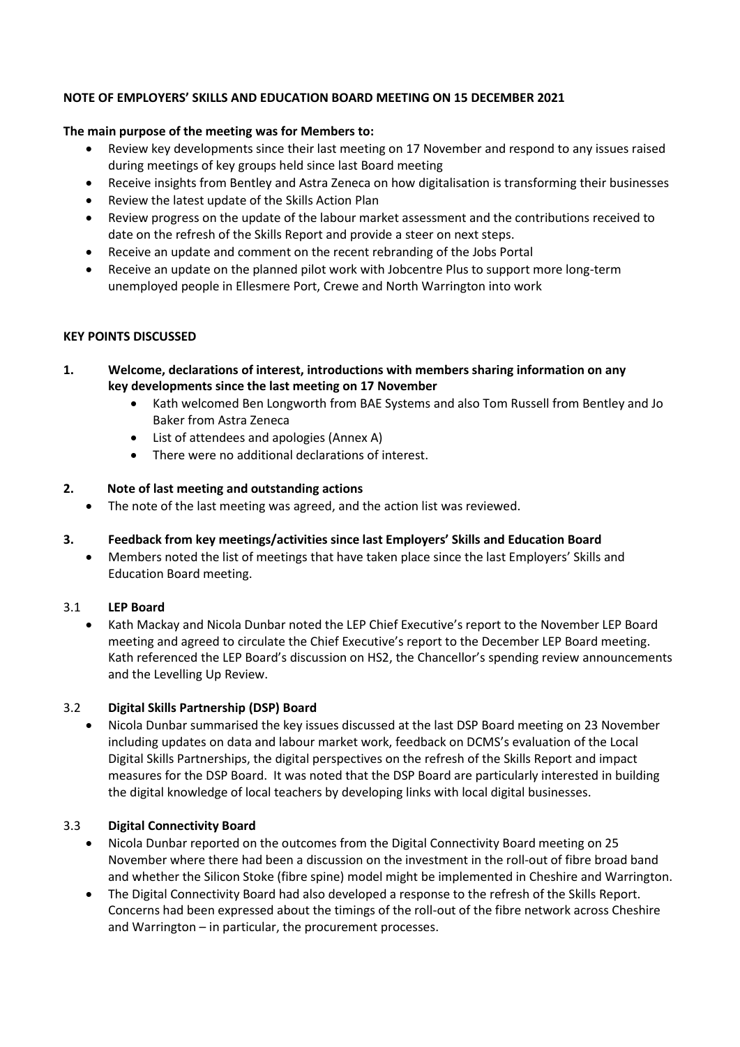#### **NOTE OF EMPLOYERS' SKILLS AND EDUCATION BOARD MEETING ON 15 DECEMBER 2021**

#### **The main purpose of the meeting was for Members to:**

- Review key developments since their last meeting on 17 November and respond to any issues raised during meetings of key groups held since last Board meeting
- Receive insights from Bentley and Astra Zeneca on how digitalisation is transforming their businesses
- Review the latest update of the Skills Action Plan
- Review progress on the update of the labour market assessment and the contributions received to date on the refresh of the Skills Report and provide a steer on next steps.
- Receive an update and comment on the recent rebranding of the Jobs Portal
- Receive an update on the planned pilot work with Jobcentre Plus to support more long-term unemployed people in Ellesmere Port, Crewe and North Warrington into work

### **KEY POINTS DISCUSSED**

- **1. Welcome, declarations of interest, introductions with members sharing information on any key developments since the last meeting on 17 November**
	- Kath welcomed Ben Longworth from BAE Systems and also Tom Russell from Bentley and Jo Baker from Astra Zeneca
	- List of attendees and apologies (Annex A)
	- There were no additional declarations of interest.

# **2. Note of last meeting and outstanding actions**

• The note of the last meeting was agreed, and the action list was reviewed.

# **3. Feedback from key meetings/activities since last Employers' Skills and Education Board**

• Members noted the list of meetings that have taken place since the last Employers' Skills and Education Board meeting.

# 3.1 **LEP Board**

• Kath Mackay and Nicola Dunbar noted the LEP Chief Executive's report to the November LEP Board meeting and agreed to circulate the Chief Executive's report to the December LEP Board meeting. Kath referenced the LEP Board's discussion on HS2, the Chancellor's spending review announcements and the Levelling Up Review.

# 3.2 **Digital Skills Partnership (DSP) Board**

• Nicola Dunbar summarised the key issues discussed at the last DSP Board meeting on 23 November including updates on data and labour market work, feedback on DCMS's evaluation of the Local Digital Skills Partnerships, the digital perspectives on the refresh of the Skills Report and impact measures for the DSP Board. It was noted that the DSP Board are particularly interested in building the digital knowledge of local teachers by developing links with local digital businesses.

# 3.3 **Digital Connectivity Board**

- Nicola Dunbar reported on the outcomes from the Digital Connectivity Board meeting on 25 November where there had been a discussion on the investment in the roll-out of fibre broad band and whether the Silicon Stoke (fibre spine) model might be implemented in Cheshire and Warrington.
- The Digital Connectivity Board had also developed a response to the refresh of the Skills Report. Concerns had been expressed about the timings of the roll-out of the fibre network across Cheshire and Warrington – in particular, the procurement processes.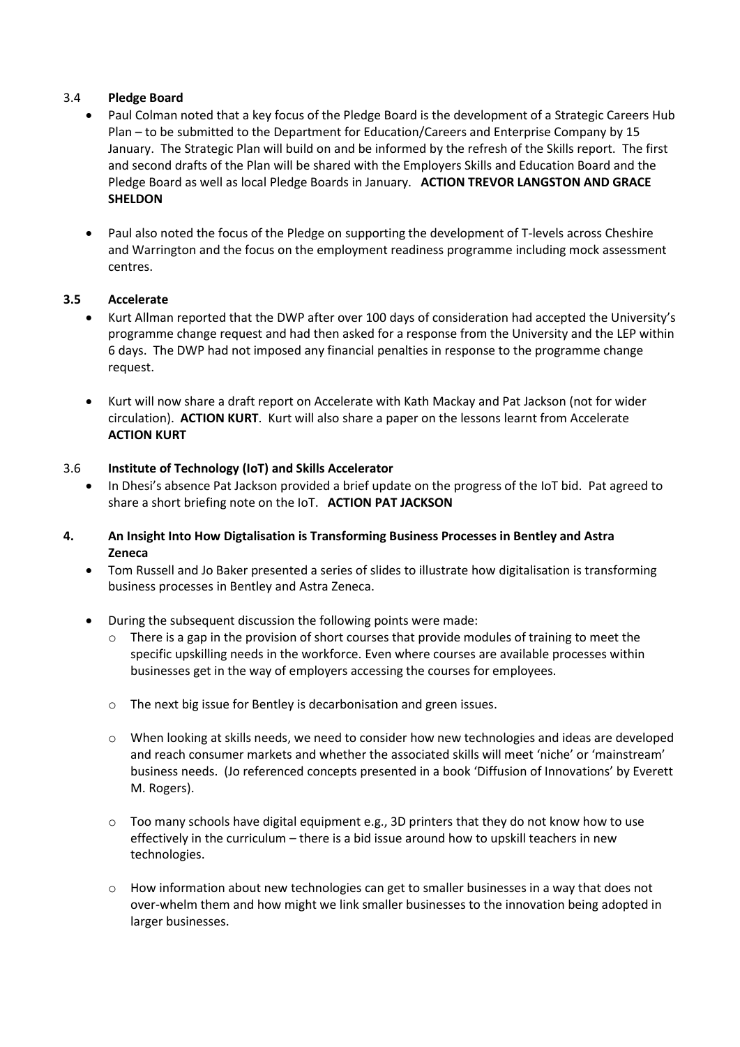### 3.4 **Pledge Board**

- Paul Colman noted that a key focus of the Pledge Board is the development of a Strategic Careers Hub Plan – to be submitted to the Department for Education/Careers and Enterprise Company by 15 January. The Strategic Plan will build on and be informed by the refresh of the Skills report. The first and second drafts of the Plan will be shared with the Employers Skills and Education Board and the Pledge Board as well as local Pledge Boards in January. **ACTION TREVOR LANGSTON AND GRACE SHELDON**
- Paul also noted the focus of the Pledge on supporting the development of T-levels across Cheshire and Warrington and the focus on the employment readiness programme including mock assessment centres.

# **3.5 Accelerate**

- Kurt Allman reported that the DWP after over 100 days of consideration had accepted the University's programme change request and had then asked for a response from the University and the LEP within 6 days. The DWP had not imposed any financial penalties in response to the programme change request.
- Kurt will now share a draft report on Accelerate with Kath Mackay and Pat Jackson (not for wider circulation). **ACTION KURT**. Kurt will also share a paper on the lessons learnt from Accelerate **ACTION KURT**

### 3.6 **Institute of Technology (IoT) and Skills Accelerator**

- In Dhesi's absence Pat Jackson provided a brief update on the progress of the IoT bid. Pat agreed to share a short briefing note on the IoT. **ACTION PAT JACKSON**
- **4. An Insight Into How Digtalisation is Transforming Business Processes in Bentley and Astra Zeneca**
	- Tom Russell and Jo Baker presented a series of slides to illustrate how digitalisation is transforming business processes in Bentley and Astra Zeneca.
	- During the subsequent discussion the following points were made:
		- There is a gap in the provision of short courses that provide modules of training to meet the specific upskilling needs in the workforce. Even where courses are available processes within businesses get in the way of employers accessing the courses for employees.
		- o The next big issue for Bentley is decarbonisation and green issues.
		- $\circ$  When looking at skills needs, we need to consider how new technologies and ideas are developed and reach consumer markets and whether the associated skills will meet 'niche' or 'mainstream' business needs. (Jo referenced concepts presented in a book 'Diffusion of Innovations' by Everett M. Rogers).
		- o Too many schools have digital equipment e.g., 3D printers that they do not know how to use effectively in the curriculum – there is a bid issue around how to upskill teachers in new technologies.
		- $\circ$  How information about new technologies can get to smaller businesses in a way that does not over-whelm them and how might we link smaller businesses to the innovation being adopted in larger businesses.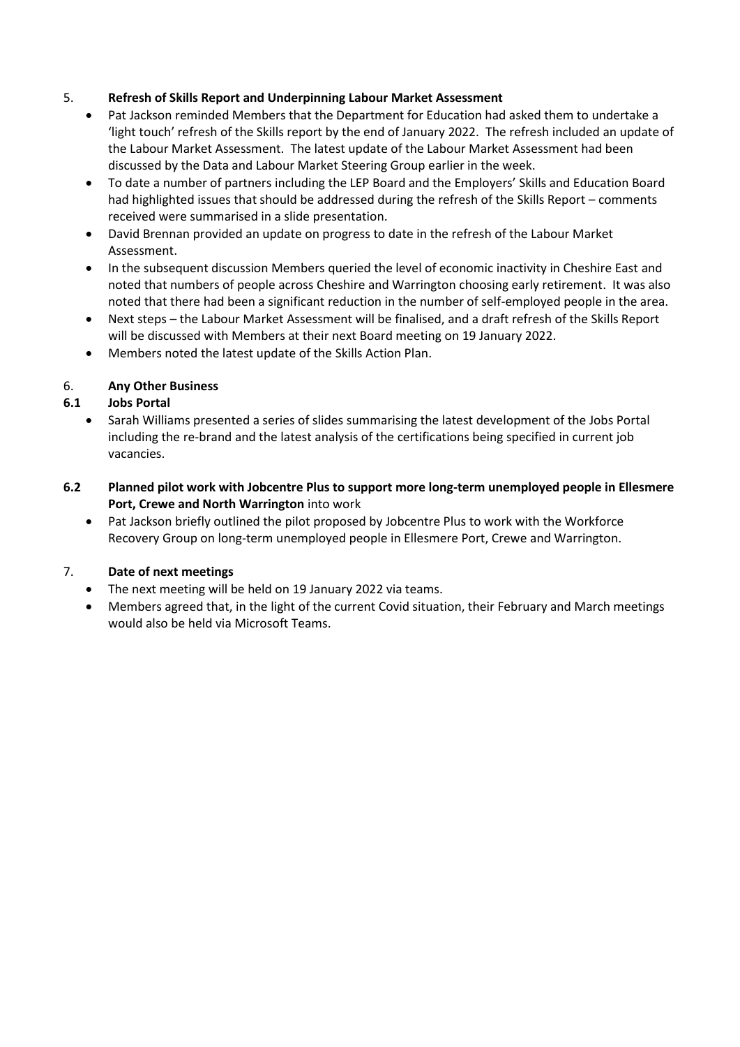# 5. **Refresh of Skills Report and Underpinning Labour Market Assessment**

- Pat Jackson reminded Members that the Department for Education had asked them to undertake a 'light touch' refresh of the Skills report by the end of January 2022. The refresh included an update of the Labour Market Assessment. The latest update of the Labour Market Assessment had been discussed by the Data and Labour Market Steering Group earlier in the week.
- To date a number of partners including the LEP Board and the Employers' Skills and Education Board had highlighted issues that should be addressed during the refresh of the Skills Report – comments received were summarised in a slide presentation.
- David Brennan provided an update on progress to date in the refresh of the Labour Market Assessment.
- In the subsequent discussion Members queried the level of economic inactivity in Cheshire East and noted that numbers of people across Cheshire and Warrington choosing early retirement. It was also noted that there had been a significant reduction in the number of self-employed people in the area.
- Next steps the Labour Market Assessment will be finalised, and a draft refresh of the Skills Report will be discussed with Members at their next Board meeting on 19 January 2022.
- Members noted the latest update of the Skills Action Plan.

# 6. **Any Other Business**

# **6.1 Jobs Portal**

- Sarah Williams presented a series of slides summarising the latest development of the Jobs Portal including the re-brand and the latest analysis of the certifications being specified in current job vacancies.
- **6.2 Planned pilot work with Jobcentre Plus to support more long-term unemployed people in Ellesmere Port, Crewe and North Warrington** into work
	- Pat Jackson briefly outlined the pilot proposed by Jobcentre Plus to work with the Workforce Recovery Group on long-term unemployed people in Ellesmere Port, Crewe and Warrington.

# 7. **Date of next meetings**

- The next meeting will be held on 19 January 2022 via teams.
- Members agreed that, in the light of the current Covid situation, their February and March meetings would also be held via Microsoft Teams.